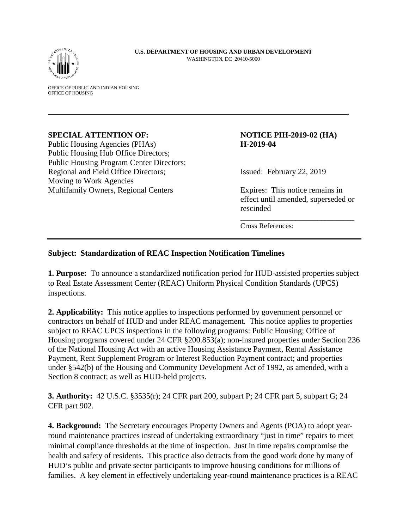ATMENT<sub>ON</sub>

OFFICE OF PUBLIC AND INDIAN HOUSING OFFICE OF HOUSING

## **SPECIAL ATTENTION OF: NOTICE PIH-2019-02 (HA)**

Public Housing Agencies (PHAs) **H-2019-04** Public Housing Hub Office Directors; Public Housing Program Center Directors; Regional and Field Office Directors; Issued: February 22, 2019 Moving to Work Agencies Multifamily Owners, Regional Centers Expires: This notice remains in

effect until amended, superseded or rescinded

\_\_\_\_\_\_\_\_\_\_\_\_\_\_\_\_\_\_\_\_\_\_\_\_\_\_\_\_\_\_\_

Cross References:

## **Subject: Standardization of REAC Inspection Notification Timelines**

**1. Purpose:** To announce a standardized notification period for HUD-assisted properties subject to Real Estate Assessment Center (REAC) Uniform Physical Condition Standards (UPCS) inspections.

**2. Applicability:** This notice applies to inspections performed by government personnel or contractors on behalf of HUD and under REAC management. This notice applies to properties subject to REAC UPCS inspections in the following programs: Public Housing; Office of Housing programs covered under 24 CFR §200.853(a); non-insured properties under Section 236 of the National Housing Act with an active Housing Assistance Payment, Rental Assistance Payment, Rent Supplement Program or Interest Reduction Payment contract; and properties under §542(b) of the Housing and Community Development Act of 1992, as amended, with a Section 8 contract; as well as HUD-held projects.

**3. Authority:** 42 U.S.C. §3535(r); 24 CFR part 200, subpart P; 24 CFR part 5, subpart G; 24 CFR part 902.

**4. Background:** The Secretary encourages Property Owners and Agents (POA) to adopt yearround maintenance practices instead of undertaking extraordinary "just in time" repairs to meet minimal compliance thresholds at the time of inspection. Just in time repairs compromise the health and safety of residents. This practice also detracts from the good work done by many of HUD's public and private sector participants to improve housing conditions for millions of families. A key element in effectively undertaking year-round maintenance practices is a REAC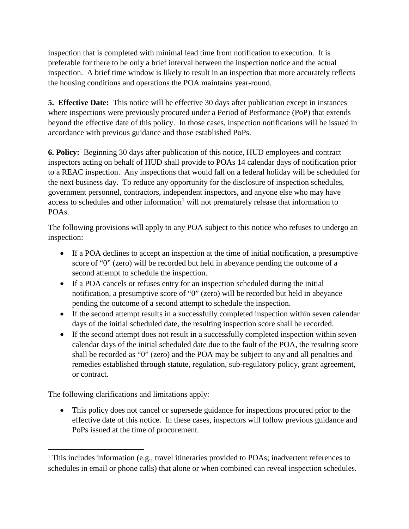inspection that is completed with minimal lead time from notification to execution. It is preferable for there to be only a brief interval between the inspection notice and the actual inspection. A brief time window is likely to result in an inspection that more accurately reflects the housing conditions and operations the POA maintains year-round.

**5. Effective Date:** This notice will be effective 30 days after publication except in instances where inspections were previously procured under a Period of Performance (PoP) that extends beyond the effective date of this policy. In those cases, inspection notifications will be issued in accordance with previous guidance and those established PoPs.

**6. Policy:** Beginning 30 days after publication of this notice, HUD employees and contract inspectors acting on behalf of HUD shall provide to POAs 14 calendar days of notification prior to a REAC inspection. Any inspections that would fall on a federal holiday will be scheduled for the next business day. To reduce any opportunity for the disclosure of inspection schedules, government personnel, contractors, independent inspectors, and anyone else who may have access to schedules and other information<sup>1</sup> will not prematurely release that information to POAs.

The following provisions will apply to any POA subject to this notice who refuses to undergo an inspection:

- If a POA declines to accept an inspection at the time of initial notification, a presumptive score of "0" (zero) will be recorded but held in abeyance pending the outcome of a second attempt to schedule the inspection.
- If a POA cancels or refuses entry for an inspection scheduled during the initial notification, a presumptive score of "0" (zero) will be recorded but held in abeyance pending the outcome of a second attempt to schedule the inspection.
- If the second attempt results in a successfully completed inspection within seven calendar days of the initial scheduled date, the resulting inspection score shall be recorded.
- If the second attempt does not result in a successfully completed inspection within seven calendar days of the initial scheduled date due to the fault of the POA, the resulting score shall be recorded as "0" (zero) and the POA may be subject to any and all penalties and remedies established through statute, regulation, sub-regulatory policy, grant agreement, or contract.

The following clarifications and limitations apply:

• This policy does not cancel or supersede guidance for inspections procured prior to the effective date of this notice. In these cases, inspectors will follow previous guidance and PoPs issued at the time of procurement.

<sup>&</sup>lt;sup>1</sup> This includes information (e.g., travel itineraries provided to POAs; inadvertent references to schedules in email or phone calls) that alone or when combined can reveal inspection schedules.